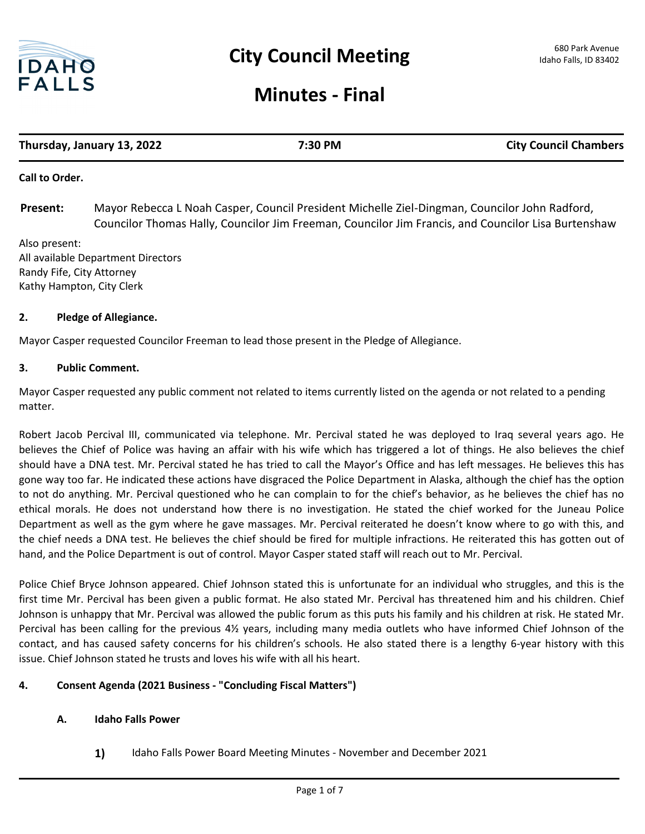

# **Minutes - Final**

| Thursday, January 13, 2022 | 7:30 PM | <b>City Council Chambers</b> |
|----------------------------|---------|------------------------------|
|                            |         |                              |

#### **Call to Order.**

Mayor Rebecca L Noah Casper, Council President Michelle Ziel-Dingman, Councilor John Radford, Councilor Thomas Hally, Councilor Jim Freeman, Councilor Jim Francis, and Councilor Lisa Burtenshaw **Present:**

Also present: All available Department Directors Randy Fife, City Attorney Kathy Hampton, City Clerk

#### **2. Pledge of Allegiance.**

Mayor Casper requested Councilor Freeman to lead those present in the Pledge of Allegiance.

#### **3. Public Comment.**

Mayor Casper requested any public comment not related to items currently listed on the agenda or not related to a pending matter.

Robert Jacob Percival III, communicated via telephone. Mr. Percival stated he was deployed to Iraq several years ago. He believes the Chief of Police was having an affair with his wife which has triggered a lot of things. He also believes the chief should have a DNA test. Mr. Percival stated he has tried to call the Mayor's Office and has left messages. He believes this has gone way too far. He indicated these actions have disgraced the Police Department in Alaska, although the chief has the option to not do anything. Mr. Percival questioned who he can complain to for the chief's behavior, as he believes the chief has no ethical morals. He does not understand how there is no investigation. He stated the chief worked for the Juneau Police Department as well as the gym where he gave massages. Mr. Percival reiterated he doesn't know where to go with this, and the chief needs a DNA test. He believes the chief should be fired for multiple infractions. He reiterated this has gotten out of hand, and the Police Department is out of control. Mayor Casper stated staff will reach out to Mr. Percival.

Police Chief Bryce Johnson appeared. Chief Johnson stated this is unfortunate for an individual who struggles, and this is the first time Mr. Percival has been given a public format. He also stated Mr. Percival has threatened him and his children. Chief Johnson is unhappy that Mr. Percival was allowed the public forum as this puts his family and his children at risk. He stated Mr. Percival has been calling for the previous 4½ years, including many media outlets who have informed Chief Johnson of the contact, and has caused safety concerns for his children's schools. He also stated there is a lengthy 6-year history with this issue. Chief Johnson stated he trusts and loves his wife with all his heart.

## **4. Consent Agenda (2021 Business - "Concluding Fiscal Matters")**

## **A. Idaho Falls Power**

**1)** Idaho Falls Power Board Meeting Minutes - November and December 2021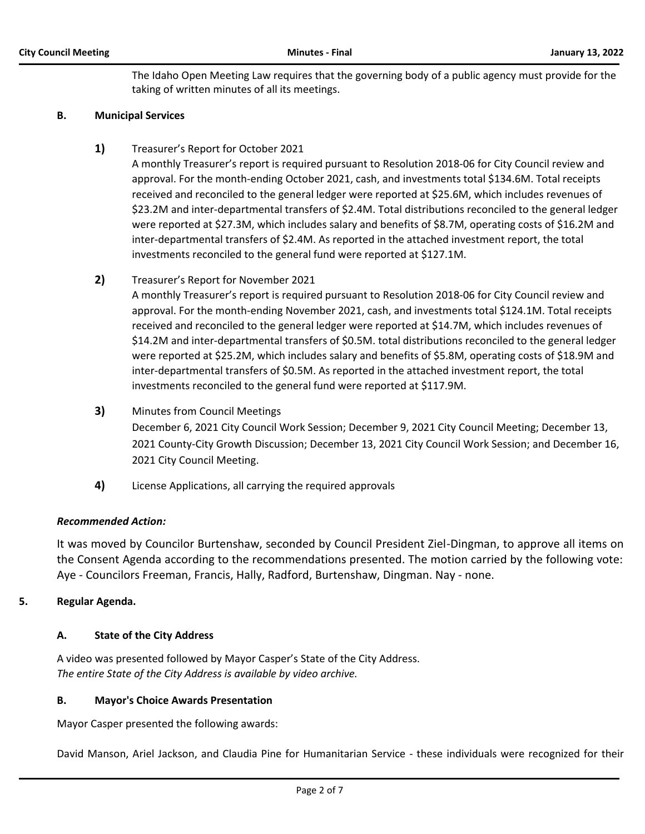The Idaho Open Meeting Law requires that the governing body of a public agency must provide for the taking of written minutes of all its meetings.

#### **B. Municipal Services**

**1)** Treasurer's Report for October 2021

A monthly Treasurer's report is required pursuant to Resolution 2018-06 for City Council review and approval. For the month-ending October 2021, cash, and investments total \$134.6M. Total receipts received and reconciled to the general ledger were reported at \$25.6M, which includes revenues of \$23.2M and inter-departmental transfers of \$2.4M. Total distributions reconciled to the general ledger were reported at \$27.3M, which includes salary and benefits of \$8.7M, operating costs of \$16.2M and inter-departmental transfers of \$2.4M. As reported in the attached investment report, the total investments reconciled to the general fund were reported at \$127.1M.

**2)** Treasurer's Report for November 2021

A monthly Treasurer's report is required pursuant to Resolution 2018-06 for City Council review and approval. For the month-ending November 2021, cash, and investments total \$124.1M. Total receipts received and reconciled to the general ledger were reported at \$14.7M, which includes revenues of \$14.2M and inter-departmental transfers of \$0.5M. total distributions reconciled to the general ledger were reported at \$25.2M, which includes salary and benefits of \$5.8M, operating costs of \$18.9M and inter-departmental transfers of \$0.5M. As reported in the attached investment report, the total investments reconciled to the general fund were reported at \$117.9M.

**3)** Minutes from Council Meetings

December 6, 2021 City Council Work Session; December 9, 2021 City Council Meeting; December 13, 2021 County-City Growth Discussion; December 13, 2021 City Council Work Session; and December 16, 2021 City Council Meeting.

**4)** License Applications, all carrying the required approvals

## *Recommended Action:*

It was moved by Councilor Burtenshaw, seconded by Council President Ziel-Dingman, to approve all items on the Consent Agenda according to the recommendations presented. The motion carried by the following vote: Aye - Councilors Freeman, Francis, Hally, Radford, Burtenshaw, Dingman. Nay - none.

## **5. Regular Agenda.**

## **A. State of the City Address**

A video was presented followed by Mayor Casper's State of the City Address. *The entire State of the City Address is available by video archive.* 

## **B. Mayor's Choice Awards Presentation**

Mayor Casper presented the following awards:

David Manson, Ariel Jackson, and Claudia Pine for Humanitarian Service - these individuals were recognized for their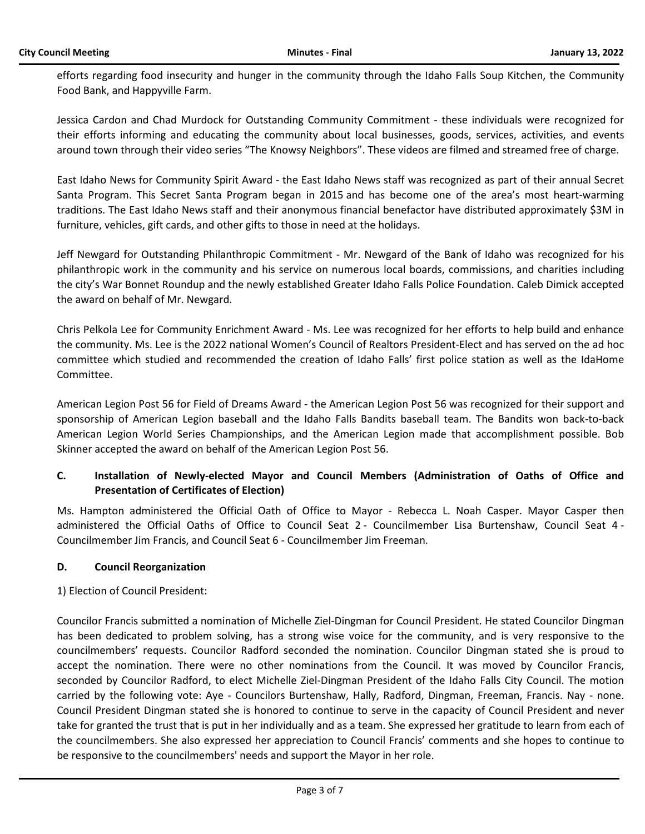efforts regarding food insecurity and hunger in the community through the Idaho Falls Soup Kitchen, the Community Food Bank, and Happyville Farm.

Jessica Cardon and Chad Murdock for Outstanding Community Commitment - these individuals were recognized for their efforts informing and educating the community about local businesses, goods, services, activities, and events around town through their video series "The Knowsy Neighbors". These videos are filmed and streamed free of charge.

East Idaho News for Community Spirit Award - the East Idaho News staff was recognized as part of their annual Secret Santa Program. This Secret Santa Program began in 2015 and has become one of the area's most heart-warming traditions. The East Idaho News staff and their anonymous financial benefactor have distributed approximately \$3M in furniture, vehicles, gift cards, and other gifts to those in need at the holidays.

Jeff Newgard for Outstanding Philanthropic Commitment - Mr. Newgard of the Bank of Idaho was recognized for his philanthropic work in the community and his service on numerous local boards, commissions, and charities including the city's War Bonnet Roundup and the newly established Greater Idaho Falls Police Foundation. Caleb Dimick accepted the award on behalf of Mr. Newgard.

Chris Pelkola Lee for Community Enrichment Award - Ms. Lee was recognized for her efforts to help build and enhance the community. Ms. Lee is the 2022 national Women's Council of Realtors President-Elect and has served on the ad hoc committee which studied and recommended the creation of Idaho Falls' first police station as well as the IdaHome Committee.

American Legion Post 56 for Field of Dreams Award - the American Legion Post 56 was recognized for their support and sponsorship of American Legion baseball and the Idaho Falls Bandits baseball team. The Bandits won back-to-back American Legion World Series Championships, and the American Legion made that accomplishment possible. Bob Skinner accepted the award on behalf of the American Legion Post 56.

# **C. Installation of Newly-elected Mayor and Council Members (Administration of Oaths of Office and Presentation of Certificates of Election)**

Ms. Hampton administered the Official Oath of Office to Mayor - Rebecca L. Noah Casper. Mayor Casper then administered the Official Oaths of Office to Council Seat 2 - Councilmember Lisa Burtenshaw, Council Seat 4 - Councilmember Jim Francis, and Council Seat 6 - Councilmember Jim Freeman.

## **D. Council Reorganization**

1) Election of Council President:

Councilor Francis submitted a nomination of Michelle Ziel-Dingman for Council President. He stated Councilor Dingman has been dedicated to problem solving, has a strong wise voice for the community, and is very responsive to the councilmembers' requests. Councilor Radford seconded the nomination. Councilor Dingman stated she is proud to accept the nomination. There were no other nominations from the Council. It was moved by Councilor Francis, seconded by Councilor Radford, to elect Michelle Ziel-Dingman President of the Idaho Falls City Council. The motion carried by the following vote: Aye - Councilors Burtenshaw, Hally, Radford, Dingman, Freeman, Francis. Nay - none. Council President Dingman stated she is honored to continue to serve in the capacity of Council President and never take for granted the trust that is put in her individually and as a team. She expressed her gratitude to learn from each of the councilmembers. She also expressed her appreciation to Council Francis' comments and she hopes to continue to be responsive to the councilmembers' needs and support the Mayor in her role.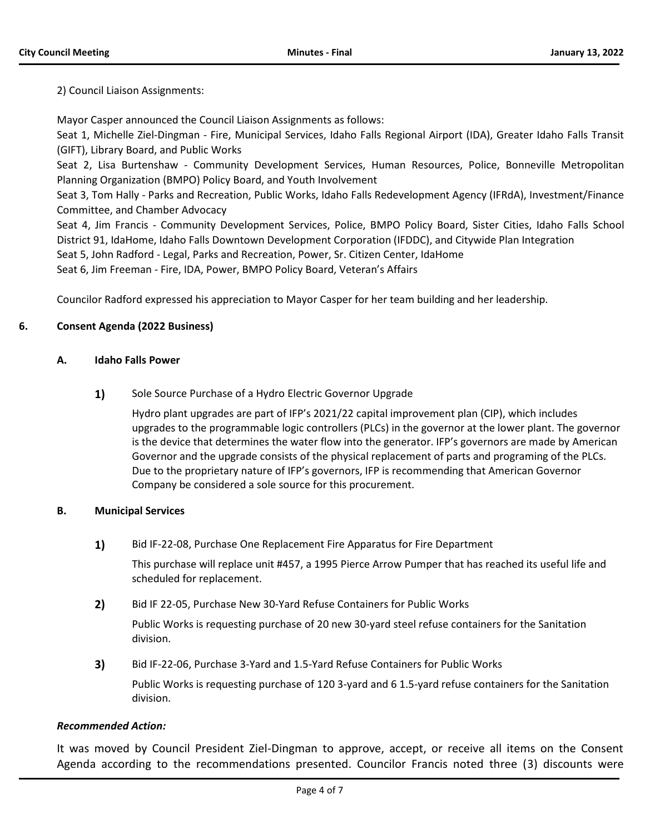2) Council Liaison Assignments:

Mayor Casper announced the Council Liaison Assignments as follows:

Seat 1, Michelle Ziel-Dingman - Fire, Municipal Services, Idaho Falls Regional Airport (IDA), Greater Idaho Falls Transit (GIFT), Library Board, and Public Works

Seat 2, Lisa Burtenshaw - Community Development Services, Human Resources, Police, Bonneville Metropolitan Planning Organization (BMPO) Policy Board, and Youth Involvement

Seat 3, Tom Hally - Parks and Recreation, Public Works, Idaho Falls Redevelopment Agency (IFRdA), Investment/Finance Committee, and Chamber Advocacy

Seat 4, Jim Francis - Community Development Services, Police, BMPO Policy Board, Sister Cities, Idaho Falls School District 91, IdaHome, Idaho Falls Downtown Development Corporation (IFDDC), and Citywide Plan Integration Seat 5, John Radford - Legal, Parks and Recreation, Power, Sr. Citizen Center, IdaHome

Seat 6, Jim Freeman - Fire, IDA, Power, BMPO Policy Board, Veteran's Affairs

Councilor Radford expressed his appreciation to Mayor Casper for her team building and her leadership.

## **6. Consent Agenda (2022 Business)**

## **A. Idaho Falls Power**

1) Sole Source Purchase of a Hydro Electric Governor Upgrade

Hydro plant upgrades are part of IFP's 2021/22 capital improvement plan (CIP), which includes upgrades to the programmable logic controllers (PLCs) in the governor at the lower plant. The governor is the device that determines the water flow into the generator. IFP's governors are made by American Governor and the upgrade consists of the physical replacement of parts and programing of the PLCs. Due to the proprietary nature of IFP's governors, IFP is recommending that American Governor Company be considered a sole source for this procurement.

## **B. Municipal Services**

**1)** Bid IF-22-08, Purchase One Replacement Fire Apparatus for Fire Department

This purchase will replace unit #457, a 1995 Pierce Arrow Pumper that has reached its useful life and scheduled for replacement.

**2)** Bid IF 22-05, Purchase New 30-Yard Refuse Containers for Public Works

Public Works is requesting purchase of 20 new 30-yard steel refuse containers for the Sanitation division.

**3)** Bid IF-22-06, Purchase 3-Yard and 1.5-Yard Refuse Containers for Public Works

Public Works is requesting purchase of 120 3-yard and 6 1.5-yard refuse containers for the Sanitation division.

## *Recommended Action:*

It was moved by Council President Ziel-Dingman to approve, accept, or receive all items on the Consent Agenda according to the recommendations presented. Councilor Francis noted three (3) discounts were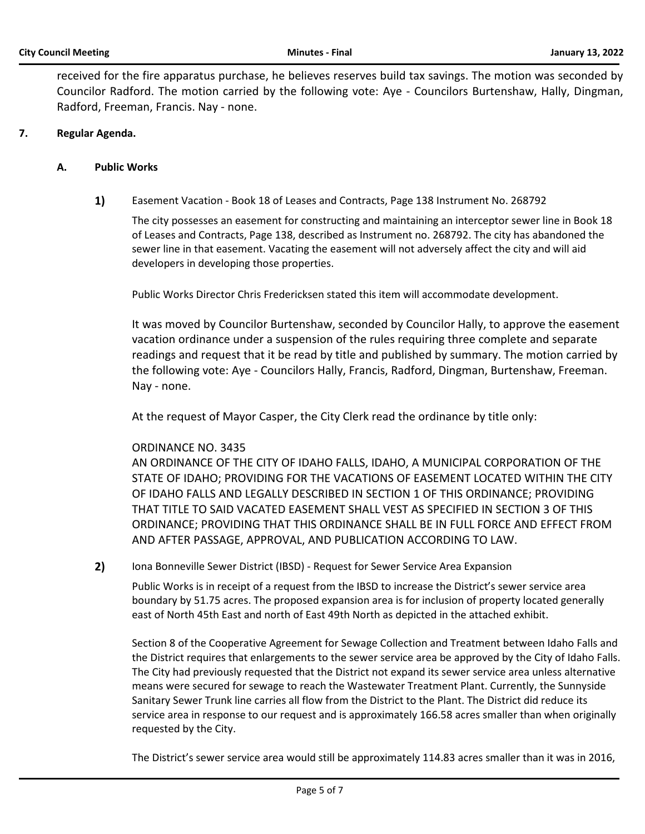received for the fire apparatus purchase, he believes reserves build tax savings. The motion was seconded by Councilor Radford. The motion carried by the following vote: Aye - Councilors Burtenshaw, Hally, Dingman, Radford, Freeman, Francis. Nay - none.

# **7. Regular Agenda.**

## **A. Public Works**

**1)** Easement Vacation - Book 18 of Leases and Contracts, Page 138 Instrument No. 268792

The city possesses an easement for constructing and maintaining an interceptor sewer line in Book 18 of Leases and Contracts, Page 138, described as Instrument no. 268792. The city has abandoned the sewer line in that easement. Vacating the easement will not adversely affect the city and will aid developers in developing those properties.

Public Works Director Chris Fredericksen stated this item will accommodate development.

It was moved by Councilor Burtenshaw, seconded by Councilor Hally, to approve the easement vacation ordinance under a suspension of the rules requiring three complete and separate readings and request that it be read by title and published by summary. The motion carried by the following vote: Aye - Councilors Hally, Francis, Radford, Dingman, Burtenshaw, Freeman. Nay - none.

At the request of Mayor Casper, the City Clerk read the ordinance by title only:

## ORDINANCE NO. 3435

AN ORDINANCE OF THE CITY OF IDAHO FALLS, IDAHO, A MUNICIPAL CORPORATION OF THE STATE OF IDAHO; PROVIDING FOR THE VACATIONS OF EASEMENT LOCATED WITHIN THE CITY OF IDAHO FALLS AND LEGALLY DESCRIBED IN SECTION 1 OF THIS ORDINANCE; PROVIDING THAT TITLE TO SAID VACATED EASEMENT SHALL VEST AS SPECIFIED IN SECTION 3 OF THIS ORDINANCE; PROVIDING THAT THIS ORDINANCE SHALL BE IN FULL FORCE AND EFFECT FROM AND AFTER PASSAGE, APPROVAL, AND PUBLICATION ACCORDING TO LAW.

**2)** Iona Bonneville Sewer District (IBSD) - Request for Sewer Service Area Expansion

Public Works is in receipt of a request from the IBSD to increase the District's sewer service area boundary by 51.75 acres. The proposed expansion area is for inclusion of property located generally east of North 45th East and north of East 49th North as depicted in the attached exhibit.

Section 8 of the Cooperative Agreement for Sewage Collection and Treatment between Idaho Falls and the District requires that enlargements to the sewer service area be approved by the City of Idaho Falls. The City had previously requested that the District not expand its sewer service area unless alternative means were secured for sewage to reach the Wastewater Treatment Plant. Currently, the Sunnyside Sanitary Sewer Trunk line carries all flow from the District to the Plant. The District did reduce its service area in response to our request and is approximately 166.58 acres smaller than when originally requested by the City.

The District's sewer service area would still be approximately 114.83 acres smaller than it was in 2016,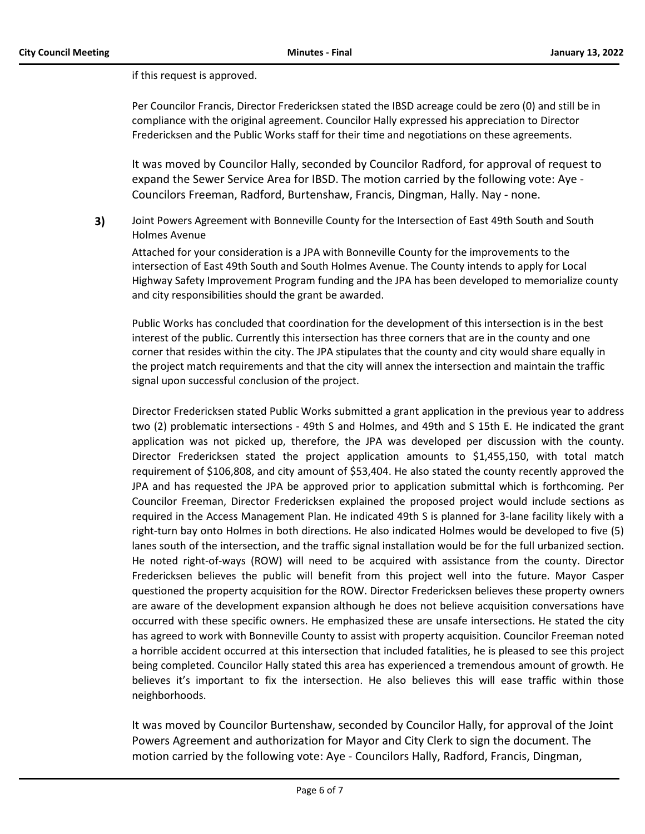if this request is approved.

Per Councilor Francis, Director Fredericksen stated the IBSD acreage could be zero (0) and still be in compliance with the original agreement. Councilor Hally expressed his appreciation to Director Fredericksen and the Public Works staff for their time and negotiations on these agreements.

It was moved by Councilor Hally, seconded by Councilor Radford, for approval of request to expand the Sewer Service Area for IBSD. The motion carried by the following vote: Aye - Councilors Freeman, Radford, Burtenshaw, Francis, Dingman, Hally. Nay - none.

**3)** Joint Powers Agreement with Bonneville County for the Intersection of East 49th South and South Holmes Avenue

Attached for your consideration is a JPA with Bonneville County for the improvements to the intersection of East 49th South and South Holmes Avenue. The County intends to apply for Local Highway Safety Improvement Program funding and the JPA has been developed to memorialize county and city responsibilities should the grant be awarded.

Public Works has concluded that coordination for the development of this intersection is in the best interest of the public. Currently this intersection has three corners that are in the county and one corner that resides within the city. The JPA stipulates that the county and city would share equally in the project match requirements and that the city will annex the intersection and maintain the traffic signal upon successful conclusion of the project.

Director Fredericksen stated Public Works submitted a grant application in the previous year to address two (2) problematic intersections - 49th S and Holmes, and 49th and S 15th E. He indicated the grant application was not picked up, therefore, the JPA was developed per discussion with the county. Director Fredericksen stated the project application amounts to \$1,455,150, with total match requirement of \$106,808, and city amount of \$53,404. He also stated the county recently approved the JPA and has requested the JPA be approved prior to application submittal which is forthcoming. Per Councilor Freeman, Director Fredericksen explained the proposed project would include sections as required in the Access Management Plan. He indicated 49th S is planned for 3-lane facility likely with a right-turn bay onto Holmes in both directions. He also indicated Holmes would be developed to five (5) lanes south of the intersection, and the traffic signal installation would be for the full urbanized section. He noted right-of-ways (ROW) will need to be acquired with assistance from the county. Director Fredericksen believes the public will benefit from this project well into the future. Mayor Casper questioned the property acquisition for the ROW. Director Fredericksen believes these property owners are aware of the development expansion although he does not believe acquisition conversations have occurred with these specific owners. He emphasized these are unsafe intersections. He stated the city has agreed to work with Bonneville County to assist with property acquisition. Councilor Freeman noted a horrible accident occurred at this intersection that included fatalities, he is pleased to see this project being completed. Councilor Hally stated this area has experienced a tremendous amount of growth. He believes it's important to fix the intersection. He also believes this will ease traffic within those neighborhoods.

It was moved by Councilor Burtenshaw, seconded by Councilor Hally, for approval of the Joint Powers Agreement and authorization for Mayor and City Clerk to sign the document. The motion carried by the following vote: Aye - Councilors Hally, Radford, Francis, Dingman,